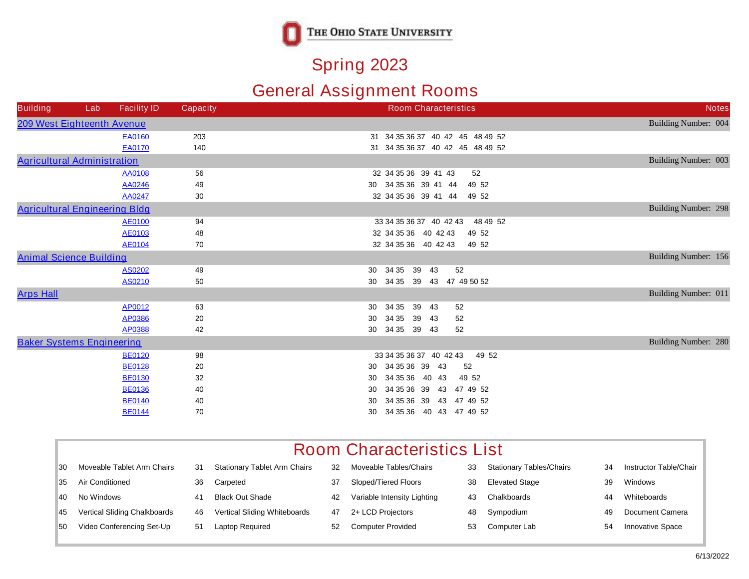

## **Spring 2023**

## **General Assignment Rooms**

| <b>Building</b>                      | Lab | <b>Facility ID</b> | <b>Capacity</b> | <b>Room Characteristics</b>         | <b>Notes</b>         |
|--------------------------------------|-----|--------------------|-----------------|-------------------------------------|----------------------|
| <b>209 West Eighteenth Avenue</b>    |     |                    |                 |                                     | Building Number: 004 |
|                                      |     | <b>EA0160</b>      | 203             | 31 34 35 36 37 40 42 45 48 49 52    |                      |
|                                      |     | <b>EA0170</b>      | 140             | 31 34 35 36 37 40 42 45 48 49 52    |                      |
| <b>Agricultural Administration</b>   |     |                    |                 |                                     | Building Number: 003 |
|                                      |     | <b>AA0108</b>      | 56              | 32 34 35 36 39 41 43<br>52          |                      |
|                                      |     | <b>AA0246</b>      | 49              | 30 34 35 36 39 41 44<br>49 52       |                      |
|                                      |     | <b>AA0247</b>      | 30              | 32 34 35 36 39 41 44<br>49 52       |                      |
| <b>Agricultural Engineering Bldg</b> |     |                    |                 |                                     | Building Number: 298 |
|                                      |     | <b>AE0100</b>      | 94              | 33 34 35 36 37 40 42 43<br>48 49 52 |                      |
|                                      |     | <b>AE0103</b>      | 48              | 32 34 35 36 40 42 43<br>49 52       |                      |
|                                      |     | <b>AE0104</b>      | 70              | 32 34 35 36 40 42 43<br>49 52       |                      |
| <b>Animal Science Building</b>       |     |                    |                 |                                     | Building Number: 156 |
|                                      |     | <b>AS0202</b>      | 49              | 34 35<br>39 43<br>52<br>30          |                      |
|                                      |     | <b>AS0210</b>      | 50              | 34 35 39 43 47 49 50 52<br>30       |                      |
| <b>Arps Hall</b>                     |     |                    |                 |                                     | Building Number: 011 |
|                                      |     | <b>AP0012</b>      | 63              | 34 35<br>39<br>43<br>52<br>30       |                      |
|                                      |     | <b>AP0386</b>      | 20              | 34 35<br>39 43<br>30<br>52          |                      |
|                                      |     | <b>AP0388</b>      | 42              | 34 35 39 43<br>52<br>30             |                      |
| <b>Baker Systems Engineering</b>     |     |                    |                 |                                     | Building Number: 280 |
|                                      |     | <b>BE0120</b>      | 98              | 33 34 35 36 37 40 42 43<br>49 52    |                      |
|                                      |     | <b>BE0128</b>      | 20              | 30 34 35 36 39 43<br>52             |                      |
|                                      |     | <b>BE0130</b>      | 32              | 34 35 36 40 43<br>49 52<br>30       |                      |
|                                      |     | <b>BE0136</b>      | 40              | 34 35 36 39 43 47 49 52<br>30       |                      |
|                                      |     | <b>BE0140</b>      | 40              | 34 35 36 39 43 47 49 52<br>30       |                      |
|                                      |     | <b>BE0144</b>      | 70              | 34 35 36 40 43 47 49 52<br>30       |                      |

| 30  | <b>Moveable Tablet Arm Chairs</b>   | 31 | <b>Stationary Tablet Arm Chairs</b> | 32 | <b>Moveable Tables/Chairs</b> | 33 | <b>Stationary Tables/Chairs</b> | 34 | <b>Instructor Table/Chair</b> |
|-----|-------------------------------------|----|-------------------------------------|----|-------------------------------|----|---------------------------------|----|-------------------------------|
| 35. | <b>Air Conditioned</b>              | 36 | Carpeted                            | 37 | Sloped/Tiered Floors          | 38 | <b>Elevated Stage</b>           | 39 | Windows                       |
| 40  | No Windows                          | 4. | <b>Black Out Shade</b>              | 42 | Variable Intensity Lighting   | 43 | <b>Chalkboards</b>              | 44 | Whiteboards                   |
| 45  | <b>Vertical Sliding Chalkboards</b> | 46 | <b>Vertical Sliding Whiteboards</b> | 47 | 2+ LCD Projectors             | 48 | Sympodium                       | 49 | <b>Document Camera</b>        |
| 50  | <b>Video Conferencing Set-Up</b>    | 51 | <b>Laptop Required</b>              | 52 | <b>Computer Provided</b>      | 53 | <b>Computer Lab</b>             | 54 | <b>Innovative Space</b>       |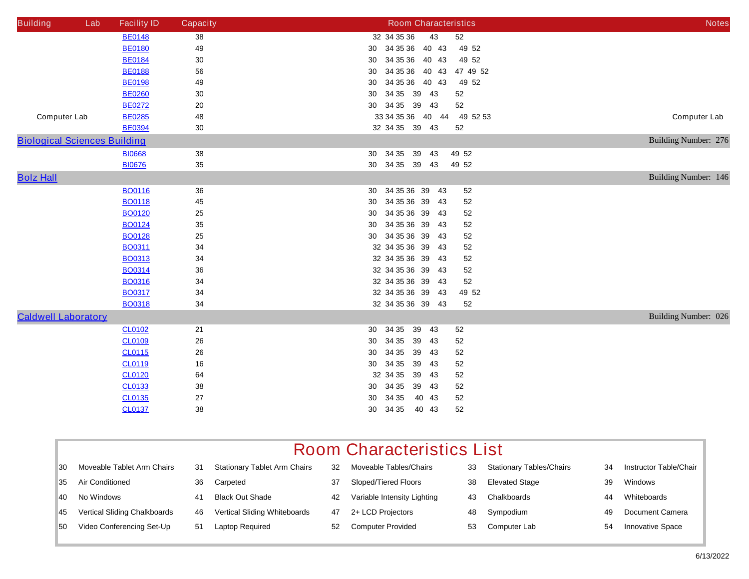| <b>Building</b>                     | Lab | <b>Facility ID</b> | <b>Capacity</b> | <b>Room Characteristics</b>      | <b>Notes</b>         |
|-------------------------------------|-----|--------------------|-----------------|----------------------------------|----------------------|
|                                     |     | <b>BE0148</b>      | 38              | 32 34 35 36<br>43<br>${\bf 52}$  |                      |
|                                     |     | <b>BE0180</b>      | 49              | 30 34 35 36 40 43<br>49 52       |                      |
|                                     |     | <b>BE0184</b>      | $30\,$          | 34 35 36 40 43<br>49 52<br>30    |                      |
|                                     |     | <b>BE0188</b>      | 56              | 34 35 36 40 43<br>47 49 52<br>30 |                      |
|                                     |     | <b>BE0198</b>      | 49              | 34 35 36 40 43<br>49 52<br>30    |                      |
|                                     |     | <b>BE0260</b>      | 30              | 34 35 39 43<br>52<br>30          |                      |
|                                     |     | <b>BE0272</b>      | ${\bf 20}$      | 30 34 35 39 43<br>52             |                      |
| <b>Computer Lab</b>                 |     | <b>BE0285</b>      | 48              | 33 34 35 36 40 44<br>49 52 53    | <b>Computer Lab</b>  |
|                                     |     | <b>BE0394</b>      | $30\,$          | 32 34 35 39 43<br>52             |                      |
| <b>Biological Sciences Building</b> |     |                    |                 |                                  | Building Number: 276 |
|                                     |     | <b>BI0668</b>      | 38              | 30 34 35 39 43<br>49 52          |                      |
|                                     |     | <b>BI0676</b>      | 35              | 34 35 39 43<br>30<br>49 52       |                      |
| <b>Bolz Hall</b>                    |     |                    |                 |                                  | Building Number: 146 |
|                                     |     | <b>BO0116</b>      | 36              | 34 35 36 39<br>43<br>52<br>30    |                      |
|                                     |     | <b>BO0118</b>      | 45              | 30 34 35 36 39<br>52<br>43       |                      |
|                                     |     | <b>BO0120</b>      | 25              | 34 35 36 39<br>52<br>30<br>43    |                      |
|                                     |     | <b>BO0124</b>      | 35              | 30 34 35 36 39<br>52<br>43       |                      |
|                                     |     | <b>BO0128</b>      | 25              | 30 34 35 36 39<br>52<br>43       |                      |
|                                     |     | <b>BO0311</b>      | 34              | 32 34 35 36 39<br>-43<br>52      |                      |
|                                     |     | <b>BO0313</b>      | 34              | 32 34 35 36 39<br>52<br>43       |                      |
|                                     |     | <b>BO0314</b>      | 36              | 32 34 35 36 39<br>52<br>43       |                      |
|                                     |     | <b>BO0316</b>      | 34              | 32 34 35 36 39<br>52<br>43       |                      |
|                                     |     | <b>BO0317</b>      | 34              | 32 34 35 36 39<br>49 52<br>43    |                      |
|                                     |     | <b>BO0318</b>      | 34              | 32 34 35 36 39 43<br>52          |                      |
| <b>Caldwell Laboratory</b>          |     |                    |                 |                                  | Building Number: 026 |
|                                     |     | <b>CL0102</b>      | 21              | 34 35<br>39 43<br>52<br>30       |                      |
|                                     |     | <b>CL0109</b>      | 26              | 34 35<br>39 43<br>30<br>52       |                      |
|                                     |     | <b>CL0115</b>      | 26              | 34 35<br>39 43<br>52<br>30       |                      |
|                                     |     | <b>CL0119</b>      | 16              | 39 43<br>30 34 35<br>52          |                      |
|                                     |     | <b>CL0120</b>      | 64              | 32 34 35<br>39 43<br>52          |                      |
|                                     |     | <b>CL0133</b>      | 38              | 34 35<br>39 43<br>52<br>30       |                      |
|                                     |     | <b>CL0135</b>      | 27              | 34 35<br>40 43<br>52<br>30       |                      |
|                                     |     | <b>CL0137</b>      | 38              | 34 35<br>40 43<br>52<br>30       |                      |

| 30 | <b>Moveable Tablet Arm Chairs</b>   | 31 | <b>Stationary Tablet Arm Chairs</b> | 32 | <b>Moveable Tables/Chairs</b> | 33 | <b>Stationary Tables/Chairs</b> | 34 | <b>Instructor Table/Chair</b> |
|----|-------------------------------------|----|-------------------------------------|----|-------------------------------|----|---------------------------------|----|-------------------------------|
| 35 | <b>Air Conditioned</b>              | 36 | Carpeted                            | 37 | <b>Sloped/Tiered Floors</b>   | 38 | <b>Elevated Stage</b>           | 39 | <b>Windows</b>                |
| 40 | No Windows                          | 41 | <b>Black Out Shade</b>              | 42 | Variable Intensity Lighting   | 43 | <b>Chalkboards</b>              | 44 | Whiteboards                   |
| 45 | <b>Vertical Sliding Chalkboards</b> | 46 | <b>Vertical Sliding Whiteboards</b> | 47 | 2+ LCD Projectors             | 48 | Sympodium                       | 49 | <b>Document Camera</b>        |
| 50 | <b>Video Conferencing Set-Up</b>    | 51 | Laptop Required                     | 52 | <b>Computer Provided</b>      | 53 | <b>Computer Lab</b>             | 54 | <b>Innovative Space</b>       |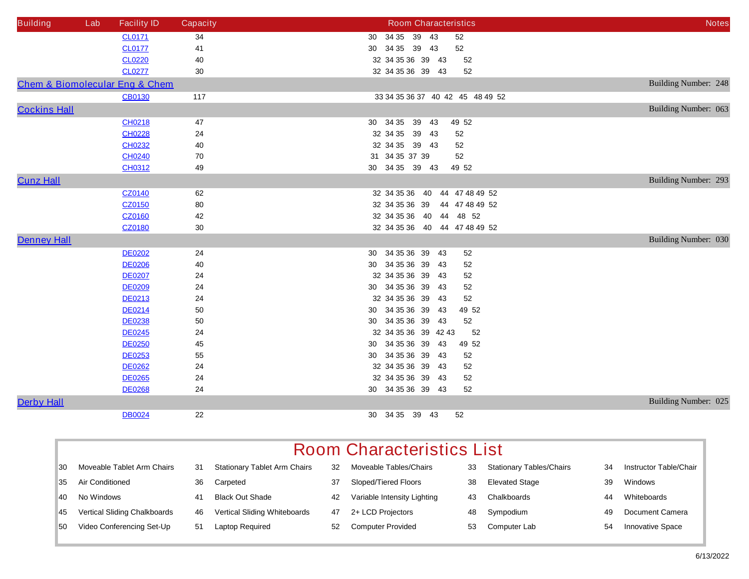| <b>Building</b>     | Lab | <b>Facility ID</b>                            | <b>Capacity</b> | <b>Room Characteristics</b>         | <b>Notes</b>         |
|---------------------|-----|-----------------------------------------------|-----------------|-------------------------------------|----------------------|
|                     |     | <b>CL0171</b>                                 | 34              | 30 34 35 39 43<br>52                |                      |
|                     |     | <b>CL0177</b>                                 | 41              | 30 34 35 39 43<br>52                |                      |
|                     |     | <b>CL0220</b>                                 | 40              | 32 34 35 36 39 43<br>52             |                      |
|                     |     | <b>CL0277</b>                                 | 30              | 32 34 35 36 39 43<br>52             |                      |
|                     |     | <b>Chem &amp; Biomolecular Eng &amp; Chem</b> |                 |                                     | Building Number: 248 |
|                     |     | <b>CB0130</b>                                 | 117             | 33 34 35 36 37 40 42 45 48 49 52    |                      |
| <b>Cockins Hall</b> |     |                                               |                 |                                     | Building Number: 063 |
|                     |     | <b>CH0218</b>                                 | 47              | 30 34 35<br>39 43<br>49 52          |                      |
|                     |     | <b>CH0228</b>                                 | 24              | 32 34 35<br>39 43<br>52             |                      |
|                     |     | <b>CH0232</b>                                 | 40              | 32 34 35 39 43<br>52                |                      |
|                     |     | <b>CH0240</b>                                 | 70              | 31 34 35 37 39<br>52                |                      |
|                     |     | <b>CH0312</b>                                 | 49              | 30 34 35 39 43<br>49 52             |                      |
| <b>Cunz Hall</b>    |     |                                               |                 |                                     | Building Number: 293 |
|                     |     | <b>CZ0140</b>                                 | 62              | 32 34 35 36<br>40<br>44 47 48 49 52 |                      |
|                     |     | <b>CZ0150</b>                                 | 80              | 32 34 35 36 39 44 47 48 49 52       |                      |
|                     |     | <b>CZ0160</b>                                 | 42              | 32 34 35 36 40<br>48 52<br>44       |                      |
|                     |     | <b>CZ0180</b>                                 | 30              | 32 34 35 36 40 44 47 48 49 52       |                      |
| <b>Denney Hall</b>  |     |                                               |                 |                                     | Building Number: 030 |
|                     |     | <b>DE0202</b>                                 | 24              | 30 34 35 36 39 43<br>52             |                      |
|                     |     | <b>DE0206</b>                                 | 40              | 30 34 35 36 39 43<br>52             |                      |
|                     |     | <b>DE0207</b>                                 | 24              | 32 34 35 36 39 43<br>52             |                      |
|                     |     | <b>DE0209</b>                                 | 24              | 30 34 35 36 39 43<br>52             |                      |
|                     |     | <b>DE0213</b>                                 | 24              | 52<br>32 34 35 36 39 43             |                      |
|                     |     | <b>DE0214</b>                                 | 50              | 30 34 35 36 39 43<br>49 52          |                      |
|                     |     | <b>DE0238</b>                                 | 50              | 30 34 35 36 39 43<br>52             |                      |
|                     |     | <b>DE0245</b>                                 | 24              | 32 34 35 36 39 42 43<br>52          |                      |
|                     |     | <b>DE0250</b>                                 | 45              | 49 52<br>30 34 35 36 39<br>43       |                      |
|                     |     | <b>DE0253</b>                                 | 55              | 30 34 35 36 39 43<br>52             |                      |
|                     |     | <b>DE0262</b>                                 | 24              | 32 34 35 36 39 43<br>52             |                      |
|                     |     | <b>DE0265</b>                                 | 24              | 32 34 35 36 39 43<br>52             |                      |
|                     |     | <b>DE0268</b>                                 | 24              | 30 34 35 36 39 43<br>52             |                      |
| <b>Derby Hall</b>   |     |                                               |                 |                                     | Building Number: 025 |
|                     |     | <b>DB0024</b>                                 | 22              | 30 34 35 39 43<br>52                |                      |

|           | <b>Room Characteristics List</b>    |    |                                     |    |                             |    |                                 |    |                               |  |  |
|-----------|-------------------------------------|----|-------------------------------------|----|-----------------------------|----|---------------------------------|----|-------------------------------|--|--|
| 30        | Moveable Tablet Arm Chairs          | 31 | <b>Stationary Tablet Arm Chairs</b> | 32 | Moveable Tables/Chairs      | 33 | <b>Stationary Tables/Chairs</b> | 34 | <b>Instructor Table/Chair</b> |  |  |
| <b>35</b> | <b>Air Conditioned</b>              | 36 | Carpeted                            | 37 | <b>Sloped/Tiered Floors</b> | 38 | <b>Elevated Stage</b>           | 39 | <b>Windows</b>                |  |  |
| <b>40</b> | No Windows                          | 41 | <b>Black Out Shade</b>              | 42 | Variable Intensity Lighting | 43 | Chalkboards                     | 44 | Whiteboards                   |  |  |
| <b>45</b> | <b>Vertical Sliding Chalkboards</b> | 46 | <b>Vertical Sliding Whiteboards</b> | 47 | 2+ LCD Projectors           | 48 | Sympodium                       | 49 | <b>Document Camera</b>        |  |  |
| 50        | Video Conferencing Set-Up           | 51 | <b>Laptop Required</b>              | 52 | <b>Computer Provided</b>    | 53 | <b>Computer Lab</b>             | 54 | <b>Innovative Space</b>       |  |  |
|           |                                     |    |                                     |    |                             |    |                                 |    |                               |  |  |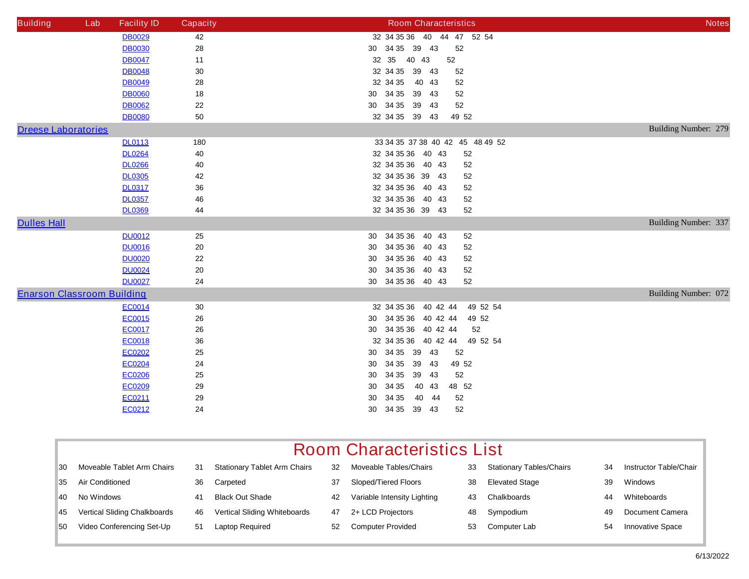| <b>Building</b>                   | Lab | <b>Facility ID</b> | <b>Capacity</b> | <b>Room Characteristics</b>             | <b>Notes</b>         |
|-----------------------------------|-----|--------------------|-----------------|-----------------------------------------|----------------------|
|                                   |     | <b>DB0029</b>      | 42              | 32 34 35 36 40 44 47 52 54              |                      |
|                                   |     | <b>DB0030</b>      | 28              | 30 34 35 39 43<br>52                    |                      |
|                                   |     | <b>DB0047</b>      | 11              | 32 35 40 43<br>52                       |                      |
|                                   |     | <b>DB0048</b>      | $30\,$          | 32 34 35 39 43<br>52                    |                      |
|                                   |     | <b>DB0049</b>      | 28              | 32 34 35 40 43<br>52                    |                      |
|                                   |     | <b>DB0060</b>      | ${\bf 18}$      | 34 35 39 43<br>52<br>30 <sub>o</sub>    |                      |
|                                   |     | <b>DB0062</b>      | 22              | 30 34 35 39 43<br>52                    |                      |
|                                   |     | <b>DB0080</b>      | 50              | 32 34 35 39 43<br>49 52                 |                      |
| <b>Dreese Laboratories</b>        |     |                    |                 |                                         | Building Number: 279 |
|                                   |     | <b>DL0113</b>      | 180             | 33 34 35 37 38 40 42 45 48 49 52        |                      |
|                                   |     | <b>DL0264</b>      | 40              | 32 34 35 36 40 43<br>52                 |                      |
|                                   |     | <b>DL0266</b>      | 40              | 32 34 35 36 40 43<br>52                 |                      |
|                                   |     | <b>DL0305</b>      | 42              | 32 34 35 36 39 43<br>52                 |                      |
|                                   |     | <b>DL0317</b>      | 36              | 32 34 35 36 40 43<br>52                 |                      |
|                                   |     | <b>DL0357</b>      | 46              | 32 34 35 36 40 43<br>52                 |                      |
|                                   |     | <b>DL0369</b>      | 44              | 32 34 35 36 39 43<br>52                 |                      |
| <b>Dulles Hall</b>                |     |                    |                 |                                         | Building Number: 337 |
|                                   |     | <b>DU0012</b>      | 25              | 30 34 35 36 40 43<br>52                 |                      |
|                                   |     | <b>DU0016</b>      | ${\bf 20}$      | 34 35 36 40 43<br>52<br>30 <sub>o</sub> |                      |
|                                   |     | <b>DU0020</b>      | ${\bf 22}$      | 34 35 36 40 43<br>52<br>30 <sub>o</sub> |                      |
|                                   |     | <b>DU0024</b>      | 20              | 34 35 36 40 43<br>30 <sub>o</sub><br>52 |                      |
|                                   |     | <b>DU0027</b>      | 24              | 30 34 35 36 40 43<br>52                 |                      |
| <b>Enarson Classroom Building</b> |     |                    |                 |                                         | Building Number: 072 |
|                                   |     | <b>EC0014</b>      | 30              | 32 34 35 36 40 42 44<br>49 52 54        |                      |
|                                   |     | EC0015             | ${\bf 26}$      | 30 34 35 36 40 42 44<br>49 52           |                      |
|                                   |     | <b>EC0017</b>      | ${\bf 26}$      | 30 34 35 36 40 42 44<br>52              |                      |
|                                   |     | <b>EC0018</b>      | 36              | 32 34 35 36 40 42 44 49 52 54           |                      |
|                                   |     | <b>EC0202</b>      | 25              | 30 34 35 39 43<br>52                    |                      |
|                                   |     | <b>EC0204</b>      | 24              | 34 35 39 43<br>49 52<br>30              |                      |
|                                   |     | <b>EC0206</b>      | 25              | 34 35<br>39 43<br>52<br>30              |                      |
|                                   |     | EC0209             | 29              | 34 35<br>40 43<br>48 52<br>30           |                      |
|                                   |     | EC0211             | 29              | 34 35 40 44<br>30 <sub>o</sub><br>52    |                      |
|                                   |     | EC0212             | 24              | 34 35 39 43<br>52<br>30                 |                      |

| <b>Room Characteristics List</b> |  |  |
|----------------------------------|--|--|
|----------------------------------|--|--|

| 30 | <b>Moveable Tablet Arm Chairs</b>   | 31 | <b>Stationary Tablet Arm Chairs</b> | 32 | <b>Moveable Tables/Chairs</b> | 33 | <b>Stationary Tables/Chairs</b> | 34 | <b>Instructor Table/Chair</b> |
|----|-------------------------------------|----|-------------------------------------|----|-------------------------------|----|---------------------------------|----|-------------------------------|
| 35 | <b>Air Conditioned</b>              | 36 | Carpeted                            | 37 | Sloped/Tiered Floors          | 38 | <b>Elevated Stage</b>           | 39 | <b>Windows</b>                |
| 40 | No Windows                          | 41 | <b>Black Out Shade</b>              | 42 | Variable Intensity Lighting   | 43 | Chalkboards                     | 44 | Whiteboards                   |
| 45 | <b>Vertical Sliding Chalkboards</b> | 46 | <b>Vertical Sliding Whiteboards</b> | 47 | 2+ LCD Projectors             | 48 | Sympodium                       | 49 | <b>Document Camera</b>        |
| 50 | <b>Video Conferencing Set-Up</b>    | 51 | <b>Laptop Required</b>              | 52 | <b>Computer Provided</b>      | 53 | <b>Computer Lab</b>             | 54 | <b>Innovative Space</b>       |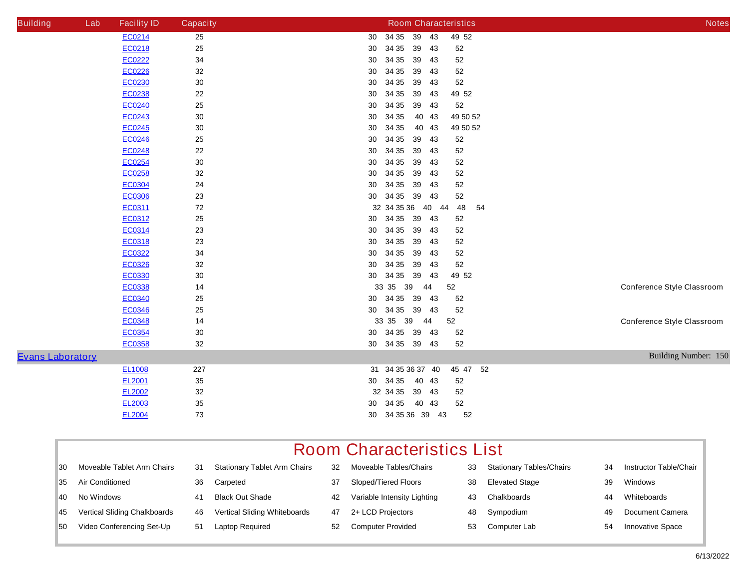| <b>Building</b>         | Lab | <b>Facility ID</b> | <b>Capacity</b> | <b>Room Characteristics</b>             | <b>Notes</b>                      |
|-------------------------|-----|--------------------|-----------------|-----------------------------------------|-----------------------------------|
|                         |     | EC0214             | 25              | 34 35 39 43<br>49 52<br>30 <sub>o</sub> |                                   |
|                         |     | EC0218             | 25              | 34 35<br>39 43<br>30<br>52              |                                   |
|                         |     | <b>EC0222</b>      | 34              | 34 35<br>39 43<br>${\bf 52}$<br>30      |                                   |
|                         |     | <b>EC0226</b>      | 32              | 34 35<br>39 43<br>52<br>30              |                                   |
|                         |     | EC0230             | $30\,$          | 34 35<br>39 43<br>52<br>30              |                                   |
|                         |     | EC0238             | ${\bf 22}$      | 34 35<br>39 43<br>49 52<br>30           |                                   |
|                         |     | <b>EC0240</b>      | 25              | 34 35<br>39 43<br>52<br>30              |                                   |
|                         |     | <b>EC0243</b>      | $30\,$          | 40 43<br>34 35<br>49 50 52<br>30        |                                   |
|                         |     | <b>EC0245</b>      | $30\,$          | 34 35<br>40 43<br>49 50 52<br>30        |                                   |
|                         |     | <b>EC0246</b>      | ${\bf 25}$      | 34 35<br>39 43<br>30<br>52              |                                   |
|                         |     | <b>EC0248</b>      | ${\bf 22}$      | 34 35<br>39 43<br>${\bf 52}$<br>30      |                                   |
|                         |     | <b>EC0254</b>      | $30\,$          | 34 35<br>39 43<br>52<br>30              |                                   |
|                         |     | <b>EC0258</b>      | 32              | 34 35<br>39 43<br>${\bf 52}$<br>30      |                                   |
|                         |     | <b>EC0304</b>      | ${\bf 24}$      | 34 35<br>39 43<br>52<br>30              |                                   |
|                         |     | <b>EC0306</b>      | 23              | 30 34 35 39 43<br>${\bf 52}$            |                                   |
|                         |     | <b>EC0311</b>      | 72              | 32 34 35 36 40 44<br>48<br>54           |                                   |
|                         |     | <b>EC0312</b>      | ${\bf 25}$      | 30 34 35 39 43<br>52                    |                                   |
|                         |     | EC0314             | 23              | 34 35 39 43<br>52<br>30                 |                                   |
|                         |     | <b>EC0318</b>      | 23              | 34 35<br>39 43<br>30<br>52              |                                   |
|                         |     | <b>EC0322</b>      | 34              | 34 35<br>39 43<br>52<br>30              |                                   |
|                         |     | <b>EC0326</b>      | 32              | 34 35<br>39 43<br>52<br>30              |                                   |
|                         |     | EC0330             | $30\,$          | 30 34 35<br>39 43<br>49 52              |                                   |
|                         |     | <b>EC0338</b>      | 14              | 33 35 39<br>52<br>44                    | <b>Conference Style Classroom</b> |
|                         |     | <b>EC0340</b>      | 25              | 34 35 39 43<br>52<br>30 <sub>o</sub>    |                                   |
|                         |     | <b>EC0346</b>      | 25              | 30 34 35 39 43<br>52                    |                                   |
|                         |     | <b>EC0348</b>      | 14              | 33 35 39<br>44<br>52                    | <b>Conference Style Classroom</b> |
|                         |     | <b>EC0354</b>      | 30              | 30 34 35 39 43<br>52                    |                                   |
|                         |     | <b>EC0358</b>      | 32              | 30 34 35 39 43<br>52                    |                                   |
| <b>Evans Laboratory</b> |     |                    |                 |                                         | Building Number: 150              |
|                         |     | <b>EL1008</b>      | 227             | 31 34 35 36 37 40<br>45 47 52           |                                   |
|                         |     | <b>EL2001</b>      | 35              | 30 34 35 40 43<br>52                    |                                   |
|                         |     | <b>EL2002</b>      | $32\,$          | 32 34 35 39 43<br>52                    |                                   |
|                         |     | <b>EL2003</b>      | $35\,$          | 30 34 35<br>40 43<br>52                 |                                   |
|                         |     | <b>EL2004</b>      | 73              | 30 34 35 36 39 43<br>52                 |                                   |
|                         |     |                    |                 |                                         |                                   |

|  |  | <b>Room Characteristics List</b> |  |
|--|--|----------------------------------|--|
|--|--|----------------------------------|--|

| 30 | <b>Moveable Tablet Arm Chairs</b>   | 31 | <b>Stationary Tablet Arm Chairs</b> | 32 | <b>Moveable Tables/Chairs</b>      | 33 | <b>Stationary Tables/Chairs</b> | 34 | <b>Instructor Table/Chair</b> |
|----|-------------------------------------|----|-------------------------------------|----|------------------------------------|----|---------------------------------|----|-------------------------------|
| 35 | <b>Air Conditioned</b>              | 36 | Carpeted                            | 37 | <b>Sloped/Tiered Floors</b>        | 38 | <b>Elevated Stage</b>           | 39 | Windows                       |
| 40 | No Windows                          |    | <b>Black Out Shade</b>              | 42 | <b>Variable Intensity Lighting</b> | 43 | <b>Chalkboards</b>              | 44 | Whiteboards                   |
| 45 | <b>Vertical Sliding Chalkboards</b> | 46 | <b>Vertical Sliding Whiteboards</b> | 47 | 2+ LCD Projectors                  | 48 | Sympodium                       | 49 | <b>Document Camera</b>        |
| 50 | <b>Video Conferencing Set-Up</b>    | 51 | <b>Laptop Required</b>              | 52 | <b>Computer Provided</b>           | 53 | Computer Lab                    | 54 | <b>Innovative Space</b>       |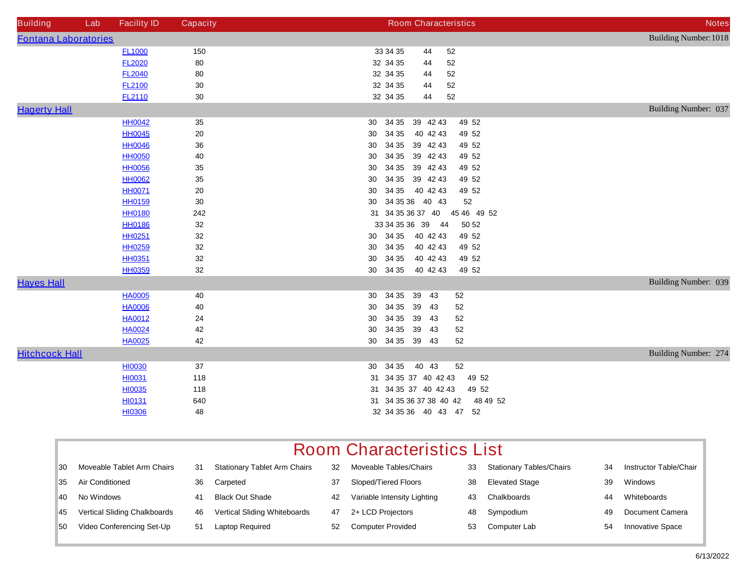| <b>Building</b>             | Lab | <b>Facility ID</b> | <b>Capacity</b> | <b>Room Characteristics</b>         | <b>Notes</b>                 |
|-----------------------------|-----|--------------------|-----------------|-------------------------------------|------------------------------|
| <b>Fontana Laboratories</b> |     |                    |                 |                                     | <b>Building Number: 1018</b> |
|                             |     | <b>FL1000</b>      | 150             | 33 34 35<br>52<br>44                |                              |
|                             |     | <b>FL2020</b>      | ${\bf 80}$      | ${\bf 52}$<br>32 34 35<br>44        |                              |
|                             |     | <b>FL2040</b>      | 80              | 52<br>32 34 35<br>44                |                              |
|                             |     | <b>FL2100</b>      | $30\,$          | 32 34 35<br>52<br>44                |                              |
|                             |     | <b>FL2110</b>      | 30              | 32 34 35<br>52<br>44                |                              |
| <b>Hagerty Hall</b>         |     |                    |                 |                                     | Building Number: 037         |
|                             |     | <b>HH0042</b>      | 35              | 49 52<br>34 35<br>39 42 43<br>30    |                              |
|                             |     | <b>HH0045</b>      | ${\bf 20}$      | 34 35<br>49 52<br>40 42 43<br>30    |                              |
|                             |     | <b>HH0046</b>      | $36\,$          | 34 35<br>39 42 43<br>49 52<br>30    |                              |
|                             |     | <b>HH0050</b>      | 40              | 34 35<br>39 42 43<br>49 52<br>30    |                              |
|                             |     | <b>HH0056</b>      | 35              | 34 35 39 42 43<br>49 52<br>30       |                              |
|                             |     | <b>HH0062</b>      | 35              | 34 35 39 42 43<br>49 52<br>30       |                              |
|                             |     | <b>HH0071</b>      | 20              | 34 35<br>40 42 43<br>49 52<br>30    |                              |
|                             |     | <b>HH0159</b>      | 30              | 34 35 36 40 43<br>52<br>30          |                              |
|                             |     | <b>HH0180</b>      | 242             | 45 46 49 52<br>31 34 35 36 37 40    |                              |
|                             |     | <b>HH0186</b>      | 32              | 33 34 35 36 39 44<br>50 52          |                              |
|                             |     | <b>HH0251</b>      | 32              | 34 35<br>40 42 43<br>49 52<br>30    |                              |
|                             |     | <b>HH0259</b>      | 32              | 34 35<br>40 42 43<br>49 52<br>30    |                              |
|                             |     | <b>HH0351</b>      | 32              | 34 35<br>40 42 43<br>49 52<br>30    |                              |
|                             |     | <b>HH0359</b>      | 32              | 34 35<br>40 42 43<br>49 52<br>30    |                              |
| <b>Hayes Hall</b>           |     |                    |                 |                                     | Building Number: 039         |
|                             |     | <b>HA0005</b>      | 40              | 34 35<br>39<br>43<br>52<br>30       |                              |
|                             |     | <b>HA0006</b>      | 40              | 34 35<br>39<br>52<br>30<br>43       |                              |
|                             |     | <b>HA0012</b>      | 24              | 34 35<br>39<br>52<br>30<br>43       |                              |
|                             |     | <b>HA0024</b>      | 42              | 34 35<br>39<br>52<br>30<br>43       |                              |
|                             |     | <b>HA0025</b>      | 42              | 30 34 35 39 43<br>52                |                              |
| <b>Hitchcock Hall</b>       |     |                    |                 |                                     | Building Number: 274         |
|                             |     | <b>HI0030</b>      | 37              | 52<br>30 34 35<br>40 43             |                              |
|                             |     | <b>HI0031</b>      | 118             | 31 34 35 37 40 42 43<br>49 52       |                              |
|                             |     | <b>HI0035</b>      | 118             | 31 34 35 37 40 42 43<br>49 52       |                              |
|                             |     | HI0131             | 640             | 31 34 35 36 37 38 40 42<br>48 49 52 |                              |
|                             |     | <b>HI0306</b>      | 48              | 32 34 35 36 40 43 47 52             |                              |

|  | <b>Room Characteristics List</b> |  |
|--|----------------------------------|--|
|--|----------------------------------|--|

| 30 | <b>Moveable Tablet Arm Chairs</b>   | 31  | <b>Stationary Tablet Arm Chairs</b> | 32 | <b>Moveable Tables/Chairs</b> | 33 | <b>Stationary Tables/Chairs</b> | 34 | <b>Instructor Table/Chair</b> |
|----|-------------------------------------|-----|-------------------------------------|----|-------------------------------|----|---------------------------------|----|-------------------------------|
| 35 | <b>Air Conditioned</b>              |     | Carpeted                            | 37 | <b>Sloped/Tiered Floors</b>   | 38 | <b>Elevated Stage</b>           | 39 | Windows                       |
| 40 | No Windows                          | 41  | <b>Black Out Shade</b>              | 42 | Variable Intensity Lighting   | 43 | <b>Chalkboards</b>              | 44 | Whiteboards                   |
| 45 | <b>Vertical Sliding Chalkboards</b> | 46  | <b>Vertical Sliding Whiteboards</b> | 47 | 2+ LCD Projectors             | 48 | Sympodium                       | 49 | <b>Document Camera</b>        |
| 50 | <b>Video Conferencing Set-Up</b>    | -51 | <b>Laptop Required</b>              | 52 | <b>Computer Provided</b>      | 53 | Computer Lab                    | 54 | <b>Innovative Space</b>       |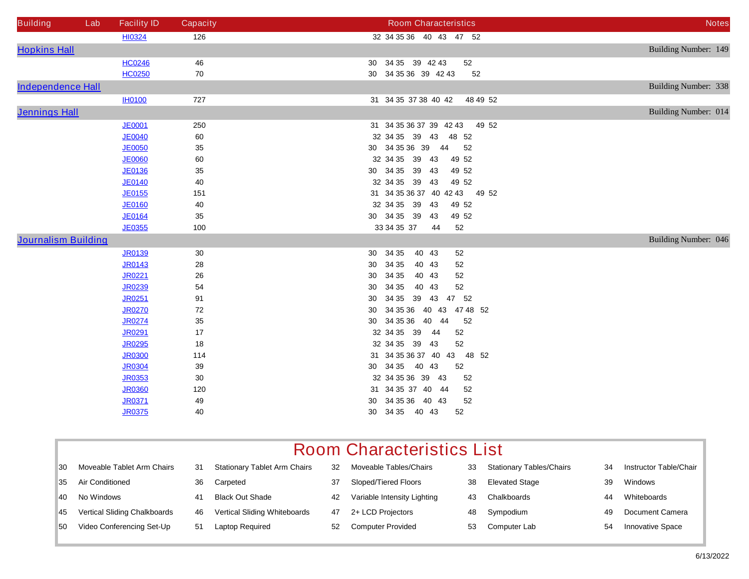| <b>Building</b>            | Lab | <b>Facility ID</b> | <b>Capacity</b> | <b>Room Characteristics</b>                | <b>Notes</b>                |
|----------------------------|-----|--------------------|-----------------|--------------------------------------------|-----------------------------|
|                            |     | <b>HI0324</b>      | 126             | 32 34 35 36 40 43 47 52                    |                             |
| <b>Hopkins Hall</b>        |     |                    |                 |                                            | Building Number: 149        |
|                            |     | <b>HC0246</b>      | 46              | 30 34 35 39 42 43<br>52                    |                             |
|                            |     | <b>HC0250</b>      | 70              | 30 34 35 36 39 42 43<br>52                 |                             |
| <b>Independence Hall</b>   |     |                    |                 |                                            | <b>Building Number: 338</b> |
|                            |     | <b>IH0100</b>      | 727             | 31 34 35 37 38 40 42<br>48 49 52           |                             |
| <b>Jennings Hall</b>       |     |                    |                 |                                            | Building Number: 014        |
|                            |     | <b>JE0001</b>      | 250             | 31 34 35 36 37 39 42 43<br>49 52           |                             |
|                            |     | <b>JE0040</b>      | 60              | 32 34 35 39 43<br>48 52                    |                             |
|                            |     | <b>JE0050</b>      | 35              | 30 34 35 36 39 44<br>52                    |                             |
|                            |     | <b>JE0060</b>      | 60              | 32 34 35 39 43<br>49 52                    |                             |
|                            |     | <b>JE0136</b>      | 35              | 34 35 39 43<br>49 52<br>30 <sub>o</sub>    |                             |
|                            |     | <b>JE0140</b>      | 40              | 32 34 35 39 43<br>49 52                    |                             |
|                            |     | <b>JE0155</b>      | 151             | 31 34 35 36 37 40 42 43 49 52              |                             |
|                            |     | <b>JE0160</b>      | 40              | 32 34 35 39 43<br>49 52                    |                             |
|                            |     | <b>JE0164</b>      | 35              | 30 34 35 39 43<br>49 52                    |                             |
|                            |     | <b>JE0355</b>      | 100             | 33 34 35 37<br>52<br>44                    |                             |
| <b>Journalism Building</b> |     |                    |                 |                                            | Building Number: 046        |
|                            |     | <b>JR0139</b>      | 30              | 34 35<br>40 43<br>52<br>30                 |                             |
|                            |     | <b>JR0143</b>      | 28              | 34 35<br>40 43<br>30 <sup>°</sup><br>52    |                             |
|                            |     | <b>JR0221</b>      | 26              | 34 35<br>40 43<br>52<br>30                 |                             |
|                            |     | <b>JR0239</b>      | 54              | 34 35<br>40 43<br>52<br>30                 |                             |
|                            |     | <b>JR0251</b>      | 91              | 34 35<br>39<br>43<br>47 52<br>30           |                             |
|                            |     | <b>JR0270</b>      | 72              | 34 35 36 40 43 47 48 52<br>30 <sub>o</sub> |                             |
|                            |     | <b>JR0274</b>      | 35              | 30 34 35 36 40 44<br>52                    |                             |
|                            |     | <b>JR0291</b>      | 17              | 32 34 35 39<br>52<br>44                    |                             |
|                            |     | <b>JR0295</b>      | 18              | 32 34 35 39 43<br>52                       |                             |
|                            |     | <b>JR0300</b>      | 114             | 31 34 35 36 37 40 43 48 52                 |                             |
|                            |     | <b>JR0304</b>      | 39              | 30 34 35 40 43<br>52                       |                             |
|                            |     | <b>JR0353</b>      | 30              | 32 34 35 36 39 43<br>52                    |                             |
|                            |     | <b>JR0360</b>      | 120             | 31 34 35 37 40 44<br>52                    |                             |
|                            |     | <b>JR0371</b>      | 49              | 30 34 35 36 40 43<br>52                    |                             |
|                            |     | <b>JR0375</b>      | 40              | 30 34 35 40 43<br>52                       |                             |

| 30 | <b>Moveable Tablet Arm Chairs</b>   | 31  | <b>Stationary Tablet Arm Chairs</b> | 32 | <b>Moveable Tables/Chairs</b> | 33 | <b>Stationary Tables/Chairs</b> | 34 | <b>Instructor Table/Chair</b> |
|----|-------------------------------------|-----|-------------------------------------|----|-------------------------------|----|---------------------------------|----|-------------------------------|
| 35 | <b>Air Conditioned</b>              | 36  | Carpeted                            | 37 | <b>Sloped/Tiered Floors</b>   | 38 | <b>Elevated Stage</b>           | 39 | <b>Windows</b>                |
| 40 | No Windows                          | 41  | <b>Black Out Shade</b>              | 42 | Variable Intensity Lighting   | 43 | <b>Chalkboards</b>              | 44 | Whiteboards                   |
| 45 | <b>Vertical Sliding Chalkboards</b> | 46  | <b>Vertical Sliding Whiteboards</b> | 47 | 2+ LCD Projectors             | 48 | Sympodium                       | 49 | <b>Document Camera</b>        |
| 50 | <b>Video Conferencing Set-Up</b>    | -51 | <b>Laptop Required</b>              | 52 | <b>Computer Provided</b>      | 53 | <b>Computer Lab</b>             | 54 | <b>Innovative Space</b>       |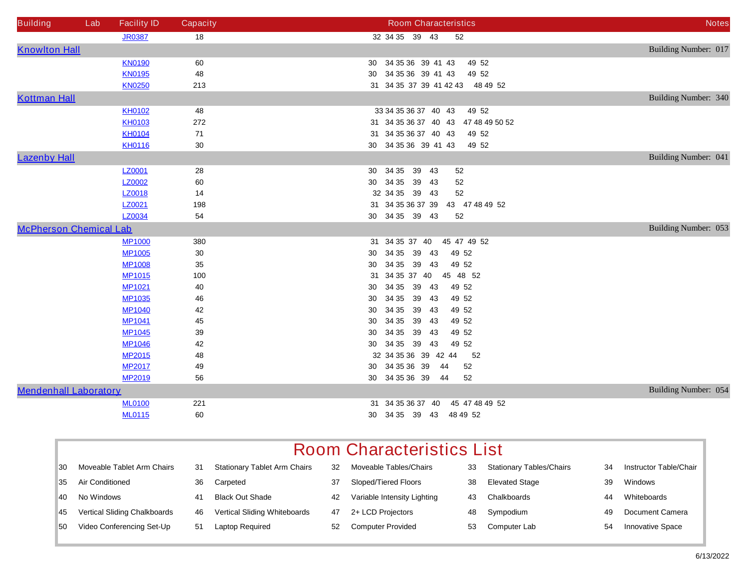| <b>Building</b>               | Lab | <b>Facility ID</b> | <b>Capacity</b> | <b>Room Characteristics</b>         | <b>Notes</b>         |
|-------------------------------|-----|--------------------|-----------------|-------------------------------------|----------------------|
|                               |     | <b>JR0387</b>      | 18              | 32 34 35 39 43<br>52                |                      |
| <b>Knowlton Hall</b>          |     |                    |                 |                                     | Building Number: 017 |
|                               |     | <b>KN0190</b>      | 60              | 30 34 35 36 39 41 43<br>49 52       |                      |
|                               |     | <b>KN0195</b>      | 48              | 30 34 35 36 39 41 43<br>49 52       |                      |
|                               |     | <b>KN0250</b>      | 213             | 31 34 35 37 39 41 42 43 48 49 52    |                      |
| <b>Kottman Hall</b>           |     |                    |                 |                                     | Building Number: 340 |
|                               |     | <b>KH0102</b>      | 48              | 33 34 35 36 37 40 43<br>49 52       |                      |
|                               |     | <b>KH0103</b>      | 272             | 31 34 35 36 37 40 43 47 48 49 50 52 |                      |
|                               |     | <b>KH0104</b>      | 71              | 31 34 35 36 37 40 43<br>49 52       |                      |
|                               |     | <b>KH0116</b>      | 30              | 30 34 35 36 39 41 43<br>49 52       |                      |
| <b>Lazenby Hall</b>           |     |                    |                 |                                     | Building Number: 041 |
|                               |     | <b>LZ0001</b>      | 28              | 30 34 35 39 43<br>52                |                      |
|                               |     | <b>LZ0002</b>      | 60              | 30 34 35 39 43<br>52                |                      |
|                               |     | LZ0018             | 14              | 32 34 35 39 43<br>52                |                      |
|                               |     | LZ0021             | 198             | 31 34 35 36 37 39<br>43 47 48 49 52 |                      |
|                               |     | LZ0034             | 54              | 30 34 35 39 43<br>52                |                      |
| <b>McPherson Chemical Lab</b> |     |                    |                 |                                     | Building Number: 053 |
|                               |     | <b>MP1000</b>      | 380             | 31 34 35 37 40<br>45 47 49 52       |                      |
|                               |     | <b>MP1005</b>      | 30              | 34 35<br>39 43<br>49 52<br>30       |                      |
|                               |     | <b>MP1008</b>      | 35              | 34 35<br>39 43<br>49 52<br>30       |                      |
|                               |     | <b>MP1015</b>      | 100             | 45 48 52<br>34 35 37 40<br>31       |                      |
|                               |     | <b>MP1021</b>      | 40              | 34 35<br>39 43<br>49 52<br>30       |                      |
|                               |     | <b>MP1035</b>      | 46              | 34 35<br>39 43<br>49 52<br>30       |                      |
|                               |     | <b>MP1040</b>      | 42              | 34 35<br>39 43<br>49 52<br>30       |                      |
|                               |     | <b>MP1041</b>      | 45              | 34 35<br>39 43<br>49 52<br>30       |                      |
|                               |     | <b>MP1045</b>      | 39              | 34 35 39 43<br>49 52<br>30          |                      |
|                               |     | <b>MP1046</b>      | 42              | 34 35 39 43<br>49 52<br>30          |                      |
|                               |     | <b>MP2015</b>      | 48              | 32 34 35 36 39 42 44<br>52          |                      |
|                               |     | <b>MP2017</b>      | 49              | 34 35 36 39<br>52<br>30<br>44       |                      |
|                               |     | <b>MP2019</b>      | 56              | 30 34 35 36 39<br>52<br>44          |                      |
| <b>Mendenhall Laboratory</b>  |     |                    |                 |                                     | Building Number: 054 |
|                               |     | <b>ML0100</b>      | 221             | 31 34 35 36 37 40<br>45 47 48 49 52 |                      |
|                               |     | <b>ML0115</b>      | 60              | 30 34 35 39 43<br>48 49 52          |                      |

|     | <b>Room Characteristics List</b>    |    |                                     |    |                             |    |                                 |    |                               |  |  |  |
|-----|-------------------------------------|----|-------------------------------------|----|-----------------------------|----|---------------------------------|----|-------------------------------|--|--|--|
| 30  | Moveable Tablet Arm Chairs          | 31 | <b>Stationary Tablet Arm Chairs</b> | 32 | Moveable Tables/Chairs      | 33 | <b>Stationary Tables/Chairs</b> | 34 | <b>Instructor Table/Chair</b> |  |  |  |
| 35  | <b>Air Conditioned</b>              | 36 | Carpeted                            | 37 | <b>Sloped/Tiered Floors</b> | 38 | <b>Elevated Stage</b>           | 39 | Windows                       |  |  |  |
| 40. | No Windows                          | 41 | <b>Black Out Shade</b>              | 42 | Variable Intensity Lighting | 43 | Chalkboards                     | 44 | Whiteboards                   |  |  |  |
| 45  | <b>Vertical Sliding Chalkboards</b> | 46 | <b>Vertical Sliding Whiteboards</b> | 47 | 2+ LCD Projectors           | 48 | Sympodium                       | 49 | <b>Document Camera</b>        |  |  |  |
| 50  | <b>Video Conferencing Set-Up</b>    | 51 | <b>Laptop Required</b>              | 52 | <b>Computer Provided</b>    | 53 | Computer Lab                    | 54 | <b>Innovative Space</b>       |  |  |  |
|     |                                     |    |                                     |    |                             |    |                                 |    |                               |  |  |  |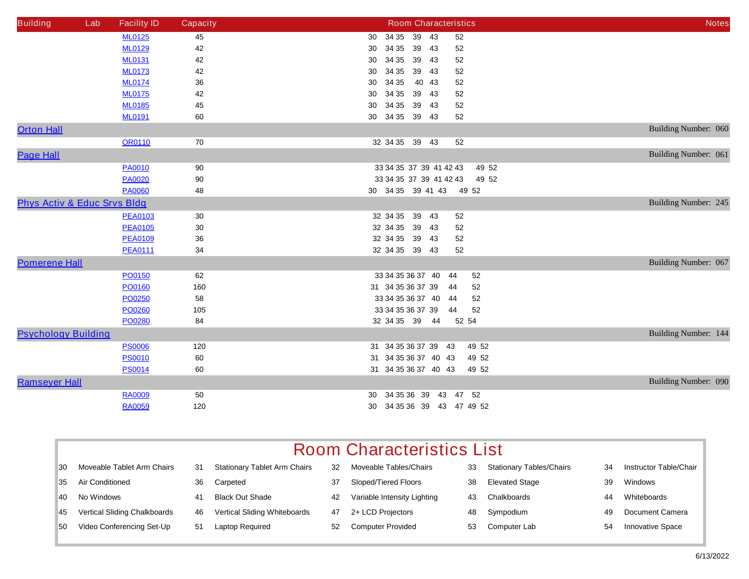| <b>Building</b>                        | Lab | <b>Facility ID</b> | <b>Capacity</b> | <b>Room Characteristics</b>      | <b>Notes</b>         |
|----------------------------------------|-----|--------------------|-----------------|----------------------------------|----------------------|
|                                        |     | <b>ML0125</b>      | 45              | 34 35<br>39 43<br>52<br>30       |                      |
|                                        |     | <b>ML0129</b>      | 42              | 34 35<br>39 43<br>52<br>30       |                      |
|                                        |     | <b>ML0131</b>      | 42              | 34 35<br>39 43<br>52<br>30       |                      |
|                                        |     | <b>ML0173</b>      | 42              | 34 35<br>39 43<br>52<br>30       |                      |
|                                        |     | <b>ML0174</b>      | 36              | 34 35<br>40 43<br>52<br>30       |                      |
|                                        |     | <b>ML0175</b>      | 42              | 34 35<br>39 43<br>52<br>30       |                      |
|                                        |     | <b>ML0185</b>      | 45              | 39 43<br>34 35<br>52<br>30       |                      |
|                                        |     | <b>ML0191</b>      | 60              | 30 34 35 39 43<br>52             |                      |
| <b>Orton Hall</b>                      |     |                    |                 |                                  | Building Number: 060 |
|                                        |     | <b>OR0110</b>      | 70              | 32 34 35 39 43<br>52             |                      |
| <b>Page Hall</b>                       |     |                    |                 |                                  | Building Number: 061 |
|                                        |     | <b>PA0010</b>      | 90              | 33 34 35 37 39 41 42 43<br>49 52 |                      |
|                                        |     | <b>PA0020</b>      | 90              | 33 34 35 37 39 41 42 43<br>49 52 |                      |
|                                        |     | <b>PA0060</b>      | 48              | 30 34 35 39 41 43 49 52          |                      |
| <b>Phys Activ &amp; Educ Srvs Bldg</b> |     |                    |                 |                                  | Building Number: 245 |
|                                        |     | <b>PEA0103</b>     | 30              | 32 34 35<br>39 43<br>52          |                      |
|                                        |     | <b>PEA0105</b>     | 30              | 32 34 35<br>39 43<br>52          |                      |
|                                        |     | <b>PEA0109</b>     | 36              | 32 34 35 39 43<br>52             |                      |
|                                        |     | <b>PEA0111</b>     | 34              | 32 34 35 39 43<br>52             |                      |
| <b>Pomerene Hall</b>                   |     |                    |                 |                                  | Building Number: 067 |
|                                        |     | PO0150             | 62              | 33 34 35 36 37 40 44<br>52       |                      |
|                                        |     | PO0160             | 160             | 31 34 35 36 37 39<br>52<br>44    |                      |
|                                        |     | PO0250             | 58              | 33 34 35 36 37 40<br>52<br>-44   |                      |
|                                        |     | PO0260             | 105             | 33 34 35 36 37 39<br>52<br>44    |                      |
|                                        |     | <b>PO0280</b>      | 84              | 32 34 35 39 44<br>52 54          |                      |
| <b>Psychology Building</b>             |     |                    |                 |                                  | Building Number: 144 |
|                                        |     | <b>PS0006</b>      | 120             | 31 34 35 36 37 39<br>49 52<br>43 |                      |
|                                        |     | <b>PS0010</b>      | 60              | 31 34 35 36 37 40 43<br>49 52    |                      |
|                                        |     | <b>PS0014</b>      | 60              | 31 34 35 36 37 40 43<br>49 52    |                      |
| <b>Ramseyer Hall</b>                   |     |                    |                 |                                  | Building Number: 090 |
|                                        |     | <b>RA0009</b>      | 50              | 34 35 36 39<br>43<br>47 52<br>30 |                      |
|                                        |     | <b>RA0059</b>      | 120             | 30 34 35 36 39 43 47 49 52       |                      |

|     | <b>Room Characteristics List</b>    |    |                                     |    |                             |    |                                 |    |                               |  |  |  |
|-----|-------------------------------------|----|-------------------------------------|----|-----------------------------|----|---------------------------------|----|-------------------------------|--|--|--|
| 30  | Moveable Tablet Arm Chairs          | 31 | <b>Stationary Tablet Arm Chairs</b> | 32 | Moveable Tables/Chairs      | 33 | <b>Stationary Tables/Chairs</b> | 34 | <b>Instructor Table/Chair</b> |  |  |  |
| 35  | <b>Air Conditioned</b>              | 36 | Carpeted                            | 37 | Sloped/Tiered Floors        | 38 | <b>Elevated Stage</b>           | 39 | <b>Windows</b>                |  |  |  |
| 40. | No Windows                          | 41 | <b>Black Out Shade</b>              | 42 | Variable Intensity Lighting | 43 | Chalkboards                     | 44 | Whiteboards                   |  |  |  |
| 45  | <b>Vertical Sliding Chalkboards</b> | 46 | <b>Vertical Sliding Whiteboards</b> | 47 | 2+ LCD Projectors           | 48 | Sympodium                       | 49 | <b>Document Camera</b>        |  |  |  |
| 50  | <b>Video Conferencing Set-Up</b>    | 51 | <b>Laptop Required</b>              | 52 | <b>Computer Provided</b>    | 53 | Computer Lab                    | 54 | <b>Innovative Space</b>       |  |  |  |
|     |                                     |    |                                     |    |                             |    |                                 |    |                               |  |  |  |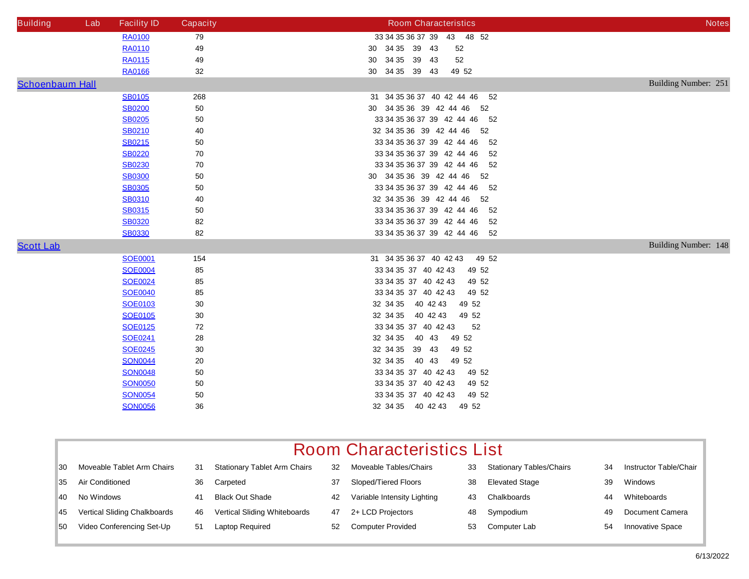| <b>Building</b>        | Lab | <b>Facility ID</b> | <b>Capacity</b> | <b>Room Characteristics</b>        | <b>Notes</b>                |
|------------------------|-----|--------------------|-----------------|------------------------------------|-----------------------------|
|                        |     | <b>RA0100</b>      | 79              | 33 34 35 36 37 39 43 48 52         |                             |
|                        |     | <b>RA0110</b>      | 49              | 30 34 35 39 43<br>52               |                             |
|                        |     | <b>RA0115</b>      | 49              | 30 34 35 39 43<br>52               |                             |
|                        |     | <b>RA0166</b>      | 32              | 30 34 35 39 43<br>49 52            |                             |
| <b>Schoenbaum Hall</b> |     |                    |                 |                                    | Building Number: 251        |
|                        |     | <b>SB0105</b>      | 268             | 31 34 35 36 37 40 42 44 46<br>52   |                             |
|                        |     | <b>SB0200</b>      | 50              | 30 34 35 36 39 42 44 46 52         |                             |
|                        |     | <b>SB0205</b>      | 50              | 33 34 35 36 37 39 42 44 46 52      |                             |
|                        |     | <b>SB0210</b>      | 40              | 32 34 35 36 39 42 44 46 52         |                             |
|                        |     | <b>SB0215</b>      | 50              | 33 34 35 36 37 39 42 44 46<br>- 52 |                             |
|                        |     | <b>SB0220</b>      | 70              | 33 34 35 36 37 39 42 44 46 52      |                             |
|                        |     | <b>SB0230</b>      | 70              | 33 34 35 36 37 39 42 44 46<br>-52  |                             |
|                        |     | <b>SB0300</b>      | 50              | 30 34 35 36 39 42 44 46 52         |                             |
|                        |     | <b>SB0305</b>      | 50              | 33 34 35 36 37 39 42 44 46 52      |                             |
|                        |     | <b>SB0310</b>      | 40              | 32 34 35 36 39 42 44 46 52         |                             |
|                        |     | <b>SB0315</b>      | ${\bf 50}$      | 33 34 35 36 37 39 42 44 46<br>- 52 |                             |
|                        |     | <b>SB0320</b>      | 82              | 33 34 35 36 37 39 42 44 46 52      |                             |
|                        |     | <b>SB0330</b>      | 82              | 33 34 35 36 37 39 42 44 46 52      |                             |
| <b>Scott Lab</b>       |     |                    |                 |                                    | <b>Building Number: 148</b> |
|                        |     | <b>SOE0001</b>     | 154             | 31 34 35 36 37 40 42 43<br>49 52   |                             |
|                        |     | <b>SOE0004</b>     | 85              | 33 34 35 37 40 42 43<br>49 52      |                             |
|                        |     | <b>SOE0024</b>     | 85              | 33 34 35 37 40 42 43<br>49 52      |                             |
|                        |     | <b>SOE0040</b>     | 85              | 49 52<br>33 34 35 37 40 42 43      |                             |
|                        |     | <b>SOE0103</b>     | 30              | 32 34 35 40 42 43<br>49 52         |                             |
|                        |     | <b>SOE0105</b>     | 30              | 32 34 35 40 42 43<br>49 52         |                             |
|                        |     | <b>SOE0125</b>     | 72              | 33 34 35 37 40 42 43<br>52         |                             |
|                        |     | <b>SOE0241</b>     | 28              | 32 34 35 40 43<br>49 52            |                             |
|                        |     | <b>SOE0245</b>     | 30              | 32 34 35 39 43<br>49 52            |                             |
|                        |     | <b>SON0044</b>     | 20              | 32 34 35 40 43<br>49 52            |                             |
|                        |     | <b>SON0048</b>     | 50              | 33 34 35 37 40 42 43<br>49 52      |                             |
|                        |     | <b>SON0050</b>     | 50              | 33 34 35 37 40 42 43<br>49 52      |                             |
|                        |     | <b>SON0054</b>     | 50              | 33 34 35 37 40 42 43<br>49 52      |                             |
|                        |     | <b>SON0056</b>     | 36              | 32 34 35 40 42 43<br>49 52         |                             |

| <b>Moveable Tablet Arm Chairs</b><br>30   | 31 | <b>Stationary Tablet Arm Chairs</b> | 32 | <b>Moveable Tables/Chairs</b> | 33 | <b>Stationary Tables/Chairs</b> | 34 | <b>Instructor Table/Chair</b> |
|-------------------------------------------|----|-------------------------------------|----|-------------------------------|----|---------------------------------|----|-------------------------------|
| <b>Air Conditioned</b><br>35              | 36 | Carpeted                            | 37 | Sloped/Tiered Floors          | 38 | <b>Elevated Stage</b>           | 39 | <b>Windows</b>                |
| No Windows<br>40                          | 41 | <b>Black Out Shade</b>              | 42 | Variable Intensity Lighting   | 43 | <b>Chalkboards</b>              | 44 | Whiteboards                   |
| <b>Vertical Sliding Chalkboards</b><br>45 | 46 | <b>Vertical Sliding Whiteboards</b> | 47 | 2+ LCD Projectors             | 48 | Sympodium                       | 49 | <b>Document Camera</b>        |
| <b>Video Conferencing Set-Up</b><br>50    | 51 | <b>Laptop Required</b>              | 52 | <b>Computer Provided</b>      | 53 | <b>Computer Lab</b>             | 54 | <b>Innovative Space</b>       |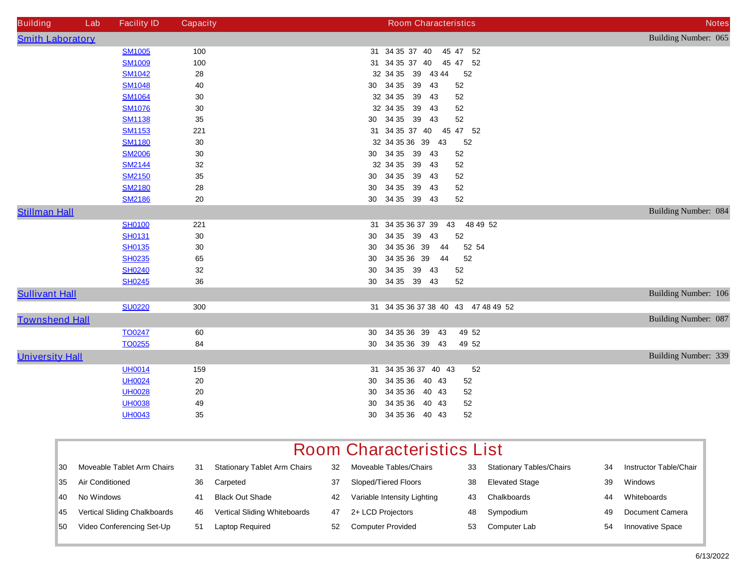| <b>Building</b>         | Lab | <b>Facility ID</b> | <b>Capacity</b> | <b>Room Characteristics</b>         | <b>Notes</b>         |
|-------------------------|-----|--------------------|-----------------|-------------------------------------|----------------------|
| <b>Smith Laboratory</b> |     |                    |                 |                                     | Building Number: 065 |
|                         |     | <b>SM1005</b>      | 100             | 31 34 35 37 40<br>45 47 52          |                      |
|                         |     | <b>SM1009</b>      | 100             | 31 34 35 37 40<br>45 47 52          |                      |
|                         |     | <b>SM1042</b>      | 28              | 32 34 35 39 43 44<br>52             |                      |
|                         |     | <b>SM1048</b>      | 40              | 30 34 35 39<br>43<br>52             |                      |
|                         |     | <b>SM1064</b>      | $30\,$          | 32 34 35 39<br>52<br>43             |                      |
|                         |     | <b>SM1076</b>      | 30              | 32 34 35<br>39<br>52<br>43          |                      |
|                         |     | <b>SM1138</b>      | $35\,$          | 30 34 35<br>52<br>39<br>43          |                      |
|                         |     | <b>SM1153</b>      | 221             | 31 34 35 37 40<br>45<br>47 52       |                      |
|                         |     | <b>SM1180</b>      | $30\,$          | 32 34 35 36 39 43<br>52             |                      |
|                         |     | <b>SM2006</b>      | 30              | 30 34 35 39<br>43<br>52             |                      |
|                         |     | <b>SM2144</b>      | 32              | 32 34 35 39<br>52<br>43             |                      |
|                         |     | <b>SM2150</b>      | $35\,$          | 30 34 35 39<br>52<br>43             |                      |
|                         |     | <b>SM2180</b>      | 28              | 34 35 39<br>52<br>30<br>43          |                      |
|                         |     | <b>SM2186</b>      | 20              | 30 34 35 39 43<br>52                |                      |
| <b>Stillman Hall</b>    |     |                    |                 |                                     | Building Number: 084 |
|                         |     | <b>SH0100</b>      | 221             | 48 49 52<br>31 34 35 36 37 39<br>43 |                      |
|                         |     | <b>SH0131</b>      | 30              | 34 35 39<br>52<br>43<br>30          |                      |
|                         |     | <b>SH0135</b>      | 30              | 34 35 36 39<br>44<br>52 54<br>30    |                      |
|                         |     | <b>SH0235</b>      | 65              | 34 35 36 39<br>52<br>44<br>30       |                      |
|                         |     | <b>SH0240</b>      | $32\,$          | 34 35 39 43<br>52<br>30             |                      |
|                         |     | <b>SH0245</b>      | 36              | 30 34 35 39 43<br>52                |                      |
| <b>Sullivant Hall</b>   |     |                    |                 |                                     | Building Number: 106 |
|                         |     | <b>SU0220</b>      | 300             | 31 34 35 36 37 38 40 43 47 48 49 52 |                      |
| <b>Townshend Hall</b>   |     |                    |                 |                                     | Building Number: 087 |
|                         |     | <b>TO0247</b>      | 60              | 30 34 35 36 39 43<br>49 52          |                      |
|                         |     | TO0255             | 84              | 30 34 35 36 39 43<br>49 52          |                      |
| <b>University Hall</b>  |     |                    |                 |                                     | Building Number: 339 |
|                         |     | <b>UH0014</b>      | 159             | 31 34 35 36 37 40 43<br>52          |                      |
|                         |     | <b>UH0024</b>      | ${\bf 20}$      | 34 35 36 40 43<br>30<br>52          |                      |
|                         |     | <b>UH0028</b>      | ${\bf 20}$      | 34 35 36 40 43<br>52<br>30          |                      |
|                         |     | <b>UH0038</b>      | 49              | 34 35 36<br>40 43<br>30<br>52       |                      |
|                         |     | <b>UH0043</b>      | 35              | 34 35 36 40 43<br>52<br>30          |                      |
|                         |     |                    |                 |                                     |                      |

|    | <b>Room Characteristics List</b>    |    |                                     |    |                               |    |                                 |    |                               |
|----|-------------------------------------|----|-------------------------------------|----|-------------------------------|----|---------------------------------|----|-------------------------------|
| 30 | <b>Moveable Tablet Arm Chairs</b>   | 31 | <b>Stationary Tablet Arm Chairs</b> | 32 | <b>Moveable Tables/Chairs</b> | 33 | <b>Stationary Tables/Chairs</b> | 34 | <b>Instructor Table/Chair</b> |
| 35 | <b>Air Conditioned</b>              | 36 | Carpeted                            | 37 | <b>Sloped/Tiered Floors</b>   | 38 | <b>Elevated Stage</b>           | 39 | <b>Windows</b>                |
| 40 | No Windows                          | 41 | <b>Black Out Shade</b>              | 42 | Variable Intensity Lighting   | 43 | <b>Chalkboards</b>              | 44 | Whiteboards                   |
| 45 | <b>Vertical Sliding Chalkboards</b> | 46 | <b>Vertical Sliding Whiteboards</b> | 47 | 2+ LCD Projectors             | 48 | Sympodium                       | 49 | <b>Document Camera</b>        |
| 50 | Video Conferencing Set-Up           | 51 | <b>Laptop Required</b>              | 52 | <b>Computer Provided</b>      | 53 | <b>Computer Lab</b>             | 54 | <b>Innovative Space</b>       |